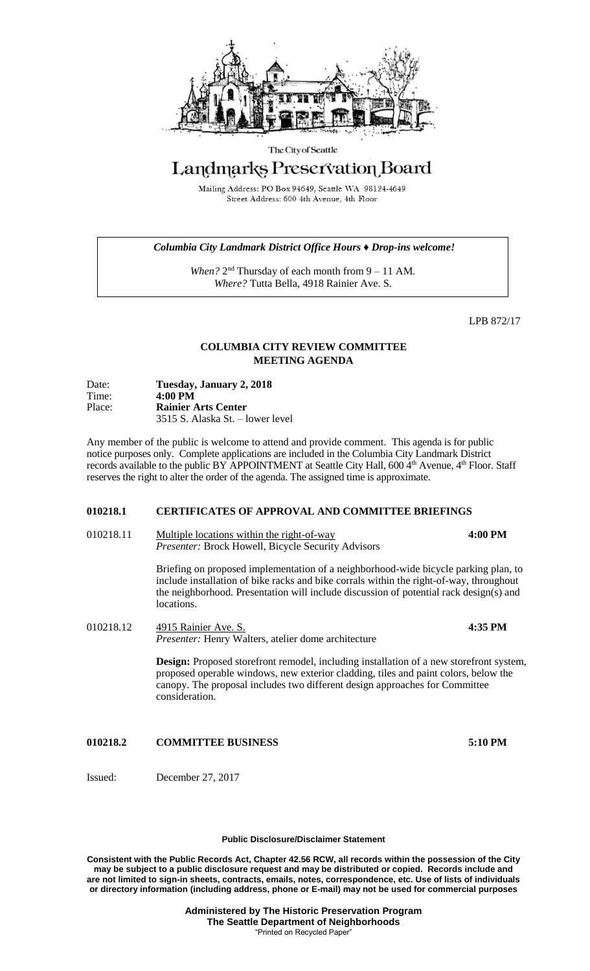

### The City of Seattle

# Landmarks Preservation Board

Mailing Address: PO Box 94649, Seattle WA 98124-4649 Street Address: 600 4th Avenue, 4th Floor

## *Columbia City Landmark District Office Hours ♦ Drop-ins welcome!*

When? 2<sup>nd</sup> Thursday of each month from 9 – 11 AM. *Where?* Tutta Bella, 4918 Rainier Ave. S.

LPB 872/17

# **COLUMBIA CITY REVIEW COMMITTEE MEETING AGENDA**

| Date:  | Tuesday, January 2, 2018         |
|--------|----------------------------------|
| Time:  | $4:00 \text{ PM}$                |
| Place: | <b>Rainier Arts Center</b>       |
|        | 3515 S. Alaska St. – lower level |

Any member of the public is welcome to attend and provide comment. This agenda is for public notice purposes only. Complete applications are included in the Columbia City Landmark District records available to the public BY APPOINTMENT at Seattle City Hall, 600 4<sup>th</sup> Avenue, 4<sup>th</sup> Floor. Staff reserves the right to alter the order of the agenda. The assigned time is approximate.

## **010218.1 CERTIFICATES OF APPROVAL AND COMMITTEE BRIEFINGS**

010218.11 Multiple locations within the right-of-way **4:00 PM** *Presenter:* Brock Howell, Bicycle Security Advisors

> Briefing on proposed implementation of a neighborhood-wide bicycle parking plan, to include installation of bike racks and bike corrals within the right-of-way, throughout the neighborhood. Presentation will include discussion of potential rack design(s) and locations.

010218.12 4915 Rainier Ave. S. **4:35 PM** *Presenter:* Henry Walters, atelier dome architecture

> **Design:** Proposed storefront remodel, including installation of a new storefront system, proposed operable windows, new exterior cladding, tiles and paint colors, below the canopy. The proposal includes two different design approaches for Committee consideration.

**010218.2 COMMITTEE BUSINESS 5:10 PM**

Issued: December 27, 2017

### **Public Disclosure/Disclaimer Statement**

**Consistent with the Public Records Act, Chapter 42.56 RCW, all records within the possession of the City may be subject to a public disclosure request and may be distributed or copied. Records include and are not limited to sign-in sheets, contracts, emails, notes, correspondence, etc. Use of lists of individuals or directory information (including address, phone or E-mail) may not be used for commercial purposes**

> **Administered by The Historic Preservation Program The Seattle Department of Neighborhoods** "Printed on Recycled Paper"